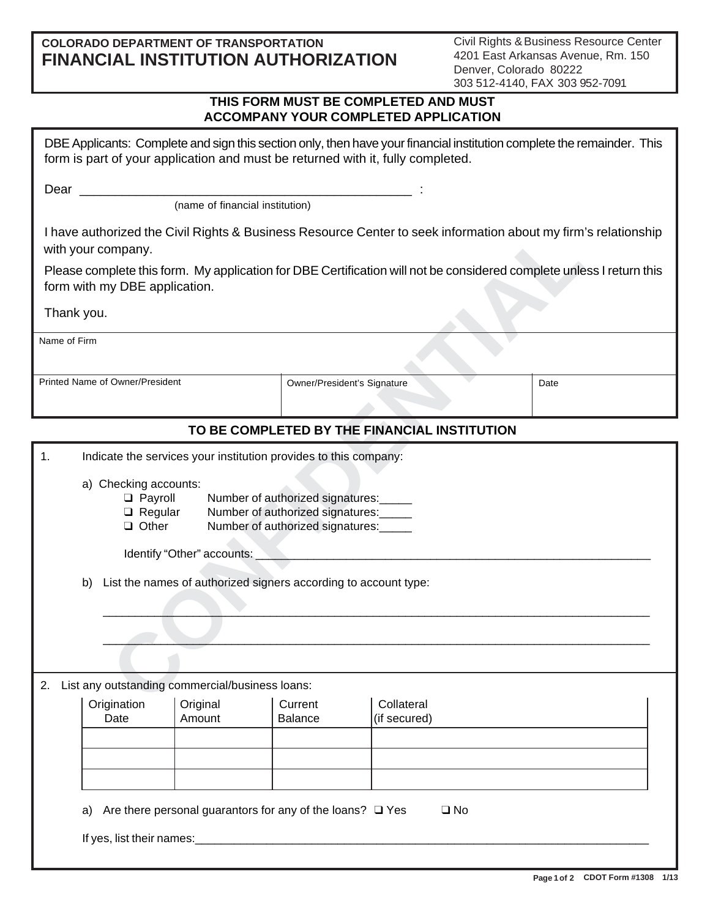## **COLORADO DEPARTMENT OF TRANSPORTATION FINANCIAL INSTITUTION AUTHORIZATION** 4201 East Arkansas Avenue, Rm. 150

Denver, Colorado 80222 303 512-4140, FAX 303 952-7091 Civil Rights & Business Resource Center

## **THIS FORM MUST BE COMPLETED AND MUST ACCOMPANY YOUR COMPLETED APPLICATION**

DBE Applicants: Complete and sign this section only, then have your financial institution complete the remainder. This form is part of your application and must be returned with it, fully completed.

Dear \_\_\_\_\_\_\_\_\_\_\_\_\_\_\_\_\_\_\_\_\_\_\_\_\_\_\_\_\_\_\_\_\_\_\_\_\_\_\_\_\_\_\_\_\_\_\_ :

(name of financial institution)

## **TO BE COMPLETED BY THE FINANCIAL INSTITUTION**

| I have authorized the Civil Rights & Business Resource Center to seek information about my firm's relationship<br>with your company.                                                                                                                                                                                                                                   |                             |                            |      |  |  |
|------------------------------------------------------------------------------------------------------------------------------------------------------------------------------------------------------------------------------------------------------------------------------------------------------------------------------------------------------------------------|-----------------------------|----------------------------|------|--|--|
| Please complete this form. My application for DBE Certification will not be considered complete unless I return this<br>form with my DBE application.                                                                                                                                                                                                                  |                             |                            |      |  |  |
| Thank you.                                                                                                                                                                                                                                                                                                                                                             |                             |                            |      |  |  |
| Name of Firm                                                                                                                                                                                                                                                                                                                                                           |                             |                            |      |  |  |
| Printed Name of Owner/President                                                                                                                                                                                                                                                                                                                                        | Owner/President's Signature |                            | Date |  |  |
| TO BE COMPLETED BY THE FINANCIAL INSTITUTION                                                                                                                                                                                                                                                                                                                           |                             |                            |      |  |  |
| 1.<br>Indicate the services your institution provides to this company:<br>a) Checking accounts:<br>$\Box$ Payroll<br>Number of authorized signatures:<br>$\Box$ Regular<br>Number of authorized signatures:<br>$\Box$ Other<br>Number of authorized signatures:<br>Identify "Other" accounts:<br>List the names of authorized signers according to account type:<br>b) |                             |                            |      |  |  |
| List any outstanding commercial/business loans:<br>2.<br>Origination<br>Original<br>Date<br>Amount                                                                                                                                                                                                                                                                     | Current<br><b>Balance</b>   | Collateral<br>(if secured) |      |  |  |
| Are there personal guarantors for any of the loans? $\Box$ Yes<br>$\square$ No<br>a)                                                                                                                                                                                                                                                                                   |                             |                            |      |  |  |